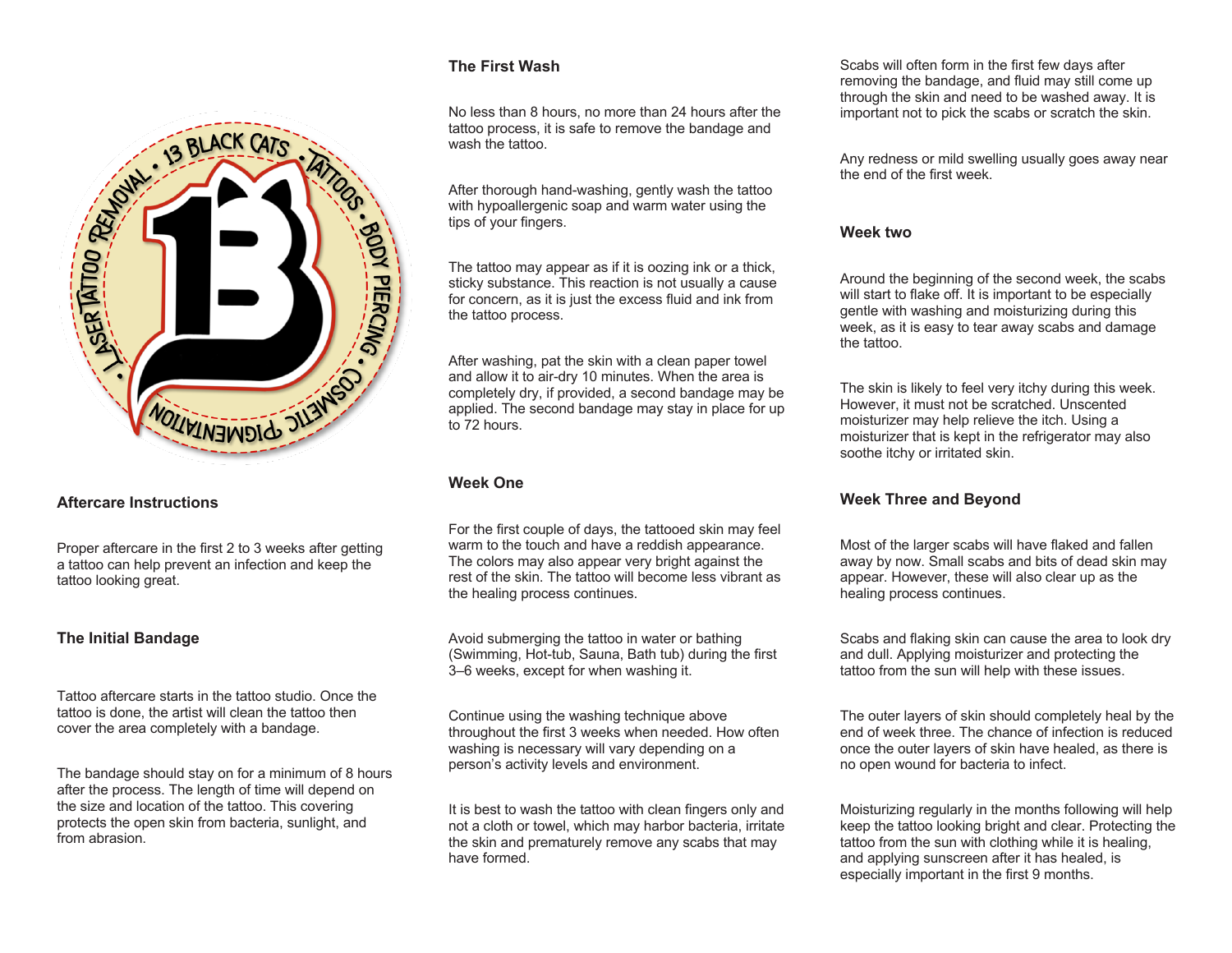

Proper aftercare in the first 2 to 3 weeks after getting a tattoo can help prevent an infection and keep the tattoo looking great.

## **The Initial Bandage**

Tattoo aftercare starts in the tattoo studio. Once the tattoo is done, the artist will clean the tattoo then cover the area completely with a bandage.

The bandage should stay on for a minimum of 8 hours after the process. The length of time will depend on the size and location of the tattoo. This covering protects the open skin from bacteria, sunlight, and from abrasion.

## **The First Wash**

No less than 8 hours, no more than 24 hours after the tattoo process, it is safe to remove the bandage and wash the tattoo.

After thorough hand-washing, gently wash the tattoo with hypoallergenic soap and warm water using the tips of your fingers.

The tattoo may appear as if it is oozing ink or a thick, sticky substance. This reaction is not usually a cause for concern, as it is just the excess fluid and ink from the tattoo process.

After washing, pat the skin with a clean paper towel and allow it to air-dry 10 minutes. When the area is completely dry, if provided, a second bandage may be applied. The second bandage may stay in place for up to 72 hours.

## **Week One**

For the first couple of days, the tattooed skin may feel warm to the touch and have a reddish appearance. The colors may also appear very bright against the rest of the skin. The tattoo will become less vibrant as the healing process continues.

Avoid submerging the tattoo in water or bathing (Swimming, Hot-tub, Sauna, Bath tub) during the first 3–6 weeks, except for when washing it.

Continue using the washing technique above throughout the first 3 weeks when needed. How often washing is necessary will vary depending on a person's activity levels and environment.

It is best to wash the tattoo with clean fingers only and not a cloth or towel, which may harbor bacteria, irritate the skin and prematurely remove any scabs that may have formed.

Scabs will often form in the first few days after removing the bandage, and fluid may still come up through the skin and need to be washed away. It is important not to pick the scabs or scratch the skin.

Any redness or mild swelling usually goes away near the end of the first week.

#### **Week two**

Around the beginning of the second week, the scabs will start to flake off. It is important to be especially gentle with washing and moisturizing during this week, as it is easy to tear away scabs and damage the tattoo.

The skin is likely to feel very itchy during this week. However, it must not be scratched. Unscented moisturizer may help relieve the itch. Using a moisturizer that is kept in the refrigerator may also soothe itchy or irritated skin.

# **Week Three and Beyond**

Most of the larger scabs will have flaked and fallen away by now. Small scabs and bits of dead skin may appear. However, these will also clear up as the healing process continues.

Scabs and flaking skin can cause the area to look dry and dull. Applying moisturizer and protecting the tattoo from the sun will help with these issues.

The outer layers of skin should completely heal by the end of week three. The chance of infection is reduced once the outer layers of skin have healed, as there is no open wound for bacteria to infect.

Moisturizing regularly in the months following will help keep the tattoo looking bright and clear. Protecting the tattoo from the sun with clothing while it is healing, and applying sunscreen after it has healed, is especially important in the first 9 months.